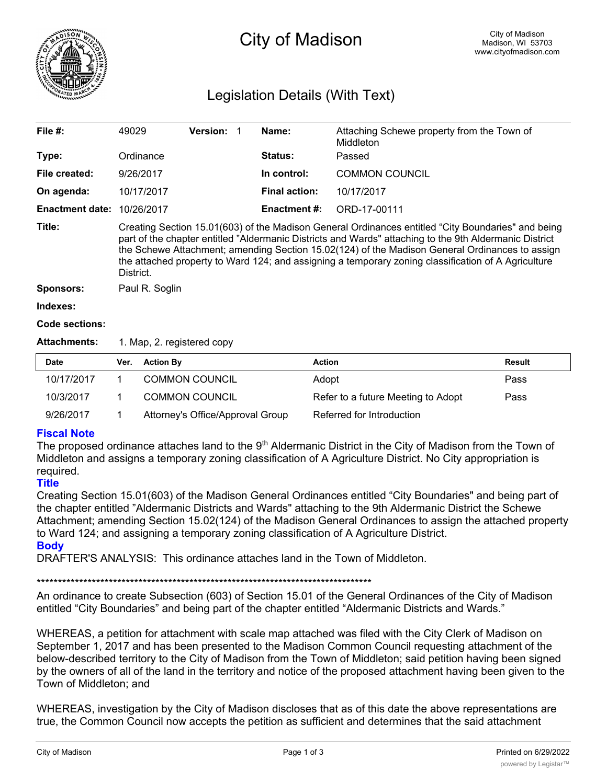

# City of Madison

# Legislation Details (With Text)

| File $#$ :             | 49029                                                                                                                                                                                                                                                                                                                                                                                                                              | <b>Version: 1</b> |  | Name:                | Attaching Schewe property from the Town of<br>Middleton |  |  |
|------------------------|------------------------------------------------------------------------------------------------------------------------------------------------------------------------------------------------------------------------------------------------------------------------------------------------------------------------------------------------------------------------------------------------------------------------------------|-------------------|--|----------------------|---------------------------------------------------------|--|--|
| Type:                  | Ordinance                                                                                                                                                                                                                                                                                                                                                                                                                          |                   |  | <b>Status:</b>       | Passed                                                  |  |  |
| File created:          | 9/26/2017                                                                                                                                                                                                                                                                                                                                                                                                                          |                   |  | In control:          | <b>COMMON COUNCIL</b>                                   |  |  |
| On agenda:             | 10/17/2017                                                                                                                                                                                                                                                                                                                                                                                                                         |                   |  | <b>Final action:</b> | 10/17/2017                                              |  |  |
| <b>Enactment date:</b> | 10/26/2017                                                                                                                                                                                                                                                                                                                                                                                                                         |                   |  | Enactment #:         | ORD-17-00111                                            |  |  |
| Title:                 | Creating Section 15.01(603) of the Madison General Ordinances entitled "City Boundaries" and being<br>part of the chapter entitled "Aldermanic Districts and Wards" attaching to the 9th Aldermanic District<br>the Schewe Attachment; amending Section 15.02(124) of the Madison General Ordinances to assign<br>the attached property to Ward 124; and assigning a temporary zoning classification of A Agriculture<br>District. |                   |  |                      |                                                         |  |  |
| Sponsors:              | Paul R. Soglin                                                                                                                                                                                                                                                                                                                                                                                                                     |                   |  |                      |                                                         |  |  |
| Indexes:               |                                                                                                                                                                                                                                                                                                                                                                                                                                    |                   |  |                      |                                                         |  |  |

### **Code sections:**

Attachments: 1. Map, 2. registered copy

| <b>Date</b> | Ver. | <b>Action By</b>                 | <b>Action</b>                      | Result |
|-------------|------|----------------------------------|------------------------------------|--------|
| 10/17/2017  |      | <b>COMMON COUNCIL</b>            | Adopt                              | Pass   |
| 10/3/2017   |      | <b>COMMON COUNCIL</b>            | Refer to a future Meeting to Adopt | Pass   |
| 9/26/2017   |      | Attorney's Office/Approval Group | Referred for Introduction          |        |

# **Fiscal Note**

The proposed ordinance attaches land to the 9<sup>th</sup> Aldermanic District in the City of Madison from the Town of Middleton and assigns a temporary zoning classification of A Agriculture District. No City appropriation is required.

## **Title**

Creating Section 15.01(603) of the Madison General Ordinances entitled "City Boundaries" and being part of the chapter entitled "Aldermanic Districts and Wards" attaching to the 9th Aldermanic District the Schewe Attachment; amending Section 15.02(124) of the Madison General Ordinances to assign the attached property to Ward 124; and assigning a temporary zoning classification of A Agriculture District.

**Body**

DRAFTER'S ANALYSIS: This ordinance attaches land in the Town of Middleton.

#### \*\*\*\*\*\*\*\*\*\*\*\*\*\*\*\*\*\*\*\*\*\*\*\*\*\*\*\*\*\*\*\*\*\*\*\*\*\*\*\*\*\*\*\*\*\*\*\*\*\*\*\*\*\*\*\*\*\*\*\*\*\*\*\*\*\*\*\*\*\*\*\*\*\*\*\*\*\*\*

An ordinance to create Subsection (603) of Section 15.01 of the General Ordinances of the City of Madison entitled "City Boundaries" and being part of the chapter entitled "Aldermanic Districts and Wards."

WHEREAS, a petition for attachment with scale map attached was filed with the City Clerk of Madison on September 1, 2017 and has been presented to the Madison Common Council requesting attachment of the below-described territory to the City of Madison from the Town of Middleton; said petition having been signed by the owners of all of the land in the territory and notice of the proposed attachment having been given to the Town of Middleton; and

WHEREAS, investigation by the City of Madison discloses that as of this date the above representations are true, the Common Council now accepts the petition as sufficient and determines that the said attachment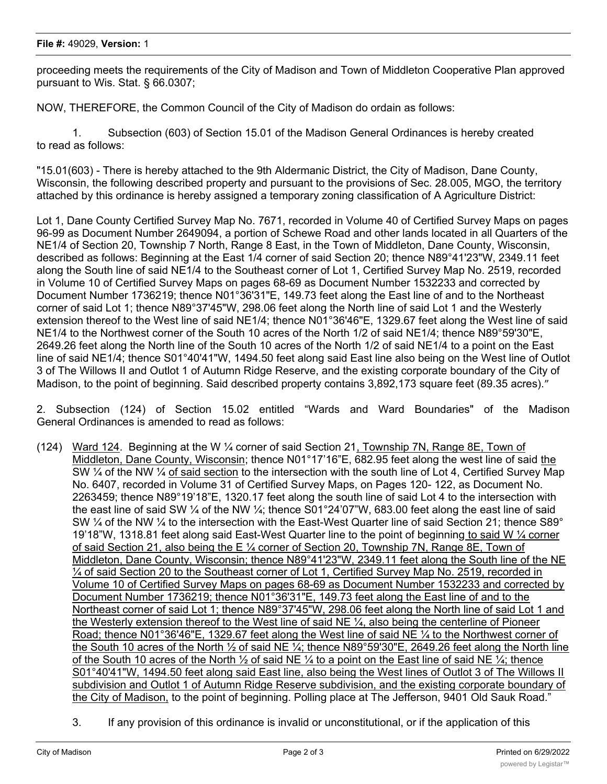proceeding meets the requirements of the City of Madison and Town of Middleton Cooperative Plan approved pursuant to Wis. Stat. § 66.0307;

NOW, THEREFORE, the Common Council of the City of Madison do ordain as follows:

1. Subsection (603) of Section 15.01 of the Madison General Ordinances is hereby created to read as follows:

"15.01(603) - There is hereby attached to the 9th Aldermanic District, the City of Madison, Dane County, Wisconsin, the following described property and pursuant to the provisions of Sec. 28.005, MGO, the territory attached by this ordinance is hereby assigned a temporary zoning classification of A Agriculture District:

Lot 1, Dane County Certified Survey Map No. 7671, recorded in Volume 40 of Certified Survey Maps on pages 96-99 as Document Number 2649094, a portion of Schewe Road and other lands located in all Quarters of the NE1/4 of Section 20, Township 7 North, Range 8 East, in the Town of Middleton, Dane County, Wisconsin, described as follows: Beginning at the East 1/4 corner of said Section 20; thence N89°41'23"W, 2349.11 feet along the South line of said NE1/4 to the Southeast corner of Lot 1, Certified Survey Map No. 2519, recorded in Volume 10 of Certified Survey Maps on pages 68-69 as Document Number 1532233 and corrected by Document Number 1736219; thence N01°36'31"E, 149.73 feet along the East line of and to the Northeast corner of said Lot 1; thence N89°37'45"W, 298.06 feet along the North line of said Lot 1 and the Westerly extension thereof to the West line of said NE1/4; thence N01°36'46"E, 1329.67 feet along the West line of said NE1/4 to the Northwest corner of the South 10 acres of the North 1/2 of said NE1/4; thence N89°59'30"E, 2649.26 feet along the North line of the South 10 acres of the North 1/2 of said NE1/4 to a point on the East line of said NE1/4; thence S01°40'41"W, 1494.50 feet along said East line also being on the West line of Outlot 3 of The Willows II and Outlot 1 of Autumn Ridge Reserve, and the existing corporate boundary of the City of Madison, to the point of beginning. Said described property contains 3,892,173 square feet (89.35 acres)."

2. Subsection (124) of Section 15.02 entitled "Wards and Ward Boundaries" of the Madison General Ordinances is amended to read as follows:

- (124) Ward 124. Beginning at the W ¼ corner of said Section 21, Township 7N, Range 8E, Town of Middleton, Dane County, Wisconsin; thence N01°17'16"E, 682.95 feet along the west line of said the SW ¼ of the NW ¼ of said section to the intersection with the south line of Lot 4, Certified Survey Map No. 6407, recorded in Volume 31 of Certified Survey Maps, on Pages 120- 122, as Document No. 2263459; thence N89°19'18"E, 1320.17 feet along the south line of said Lot 4 to the intersection with the east line of said SW  $\frac{1}{4}$  of the NW  $\frac{1}{4}$ ; thence S01°24'07"W, 683.00 feet along the east line of said SW  $\frac{1}{4}$  of the NW  $\frac{1}{4}$  to the intersection with the East-West Quarter line of said Section 21; thence S89° 19'18"W, 1318.81 feet along said East-West Quarter line to the point of beginning to said W  $\frac{1}{4}$  corner of said Section 21, also being the E ¼ corner of Section 20, Township 7N, Range 8E, Town of Middleton, Dane County, Wisconsin; thence N89°41'23"W, 2349.11 feet along the South line of the NE ¼ of said Section 20 to the Southeast corner of Lot 1, Certified Survey Map No. 2519, recorded in Volume 10 of Certified Survey Maps on pages 68-69 as Document Number 1532233 and corrected by Document Number 1736219; thence N01°36'31"E, 149.73 feet along the East line of and to the Northeast corner of said Lot 1; thence N89°37'45"W, 298.06 feet along the North line of said Lot 1 and the Westerly extension thereof to the West line of said NE ¼, also being the centerline of Pioneer Road; thence N01°36'46"E, 1329.67 feet along the West line of said NE ¼ to the Northwest corner of the South 10 acres of the North ½ of said NE ¼; thence N89°59'30"E, 2649.26 feet along the North line of the South 10 acres of the North  $\frac{1}{2}$  of said NE  $\frac{1}{4}$  to a point on the East line of said NE  $\frac{1}{4}$ ; thence S01°40'41"W, 1494.50 feet along said East line, also being the West lines of Outlot 3 of The Willows II subdivision and Outlot 1 of Autumn Ridge Reserve subdivision, and the existing corporate boundary of the City of Madison, to the point of beginning. Polling place at The Jefferson, 9401 Old Sauk Road."
	- 3. If any provision of this ordinance is invalid or unconstitutional, or if the application of this